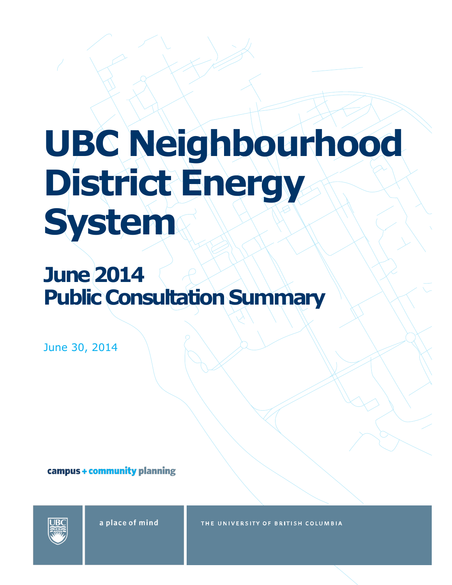# **UBC Neighbourhood District Energy System**

## **June 2014 Public Consultation Summary**

June 30, 2014

campus + community planning



a place of mind

THE UNIVERSITY OF BRITISH COLUMBIA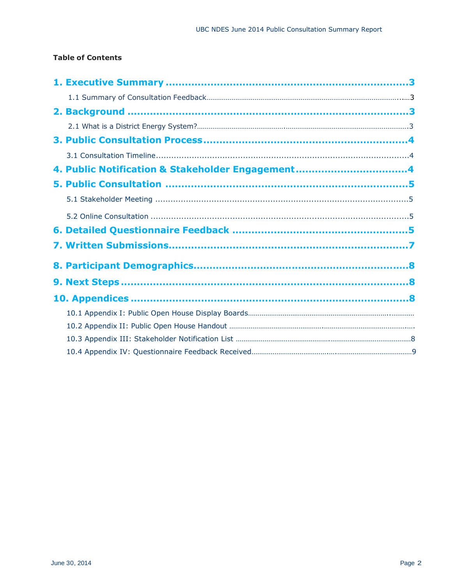#### **Table of Contents**

| 4. Public Notification & Stakeholder Engagement4 |  |
|--------------------------------------------------|--|
|                                                  |  |
|                                                  |  |
|                                                  |  |
|                                                  |  |
|                                                  |  |
|                                                  |  |
|                                                  |  |
|                                                  |  |
|                                                  |  |
|                                                  |  |
|                                                  |  |
|                                                  |  |
|                                                  |  |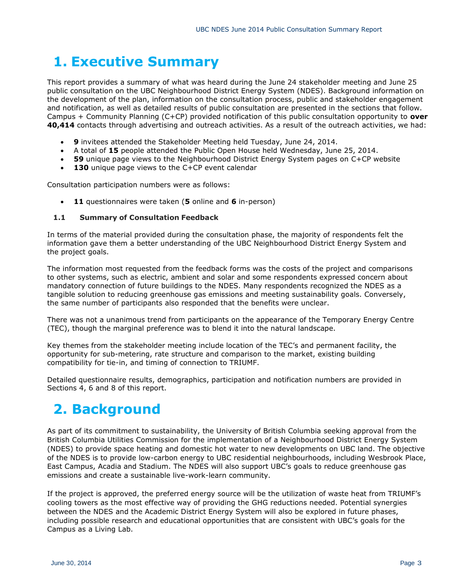### **1. Executive Summary**

This report provides a summary of what was heard during the June 24 stakeholder meeting and June 25 public consultation on the UBC Neighbourhood District Energy System (NDES). Background information on the development of the plan, information on the consultation process, public and stakeholder engagement and notification, as well as detailed results of public consultation are presented in the sections that follow. Campus + Community Planning (C+CP) provided notification of this public consultation opportunity to **over 40,414** contacts through advertising and outreach activities. As a result of the outreach activities, we had:

- **9** invitees attended the Stakeholder Meeting held Tuesday, June 24, 2014.
- A total of **15** people attended the Public Open House held Wednesday, June 25, 2014.
- **59** unique page views to the Neighbourhood District Energy System pages on C+CP website
- 130 unique page views to the C+CP event calendar

Consultation participation numbers were as follows:

**11** questionnaires were taken (**5** online and **6** in-person)

#### **1.1 Summary of Consultation Feedback**

In terms of the material provided during the consultation phase, the majority of respondents felt the information gave them a better understanding of the UBC Neighbourhood District Energy System and the project goals.

The information most requested from the feedback forms was the costs of the project and comparisons to other systems, such as electric, ambient and solar and some respondents expressed concern about mandatory connection of future buildings to the NDES. Many respondents recognized the NDES as a tangible solution to reducing greenhouse gas emissions and meeting sustainability goals. Conversely, the same number of participants also responded that the benefits were unclear.

There was not a unanimous trend from participants on the appearance of the Temporary Energy Centre (TEC), though the marginal preference was to blend it into the natural landscape.

Key themes from the stakeholder meeting include location of the TEC's and permanent facility, the opportunity for sub-metering, rate structure and comparison to the market, existing building compatibility for tie-in, and timing of connection to TRIUMF.

Detailed questionnaire results, demographics, participation and notification numbers are provided in Sections 4, 6 and 8 of this report.

### **2. Background**

As part of its commitment to sustainability, the University of British Columbia seeking approval from the British Columbia Utilities Commission for the implementation of a Neighbourhood District Energy System (NDES) to provide space heating and domestic hot water to new developments on UBC land. The objective of the NDES is to provide low-carbon energy to UBC residential neighbourhoods, including Wesbrook Place, East Campus, Acadia and Stadium. The NDES will also support UBC's goals to reduce greenhouse gas emissions and create a sustainable live-work-learn community.

If the project is approved, the preferred energy source will be the utilization of waste heat from TRIUMF's cooling towers as the most effective way of providing the GHG reductions needed. Potential synergies between the NDES and the Academic District Energy System will also be explored in future phases, including possible research and educational opportunities that are consistent with UBC's goals for the Campus as a Living Lab.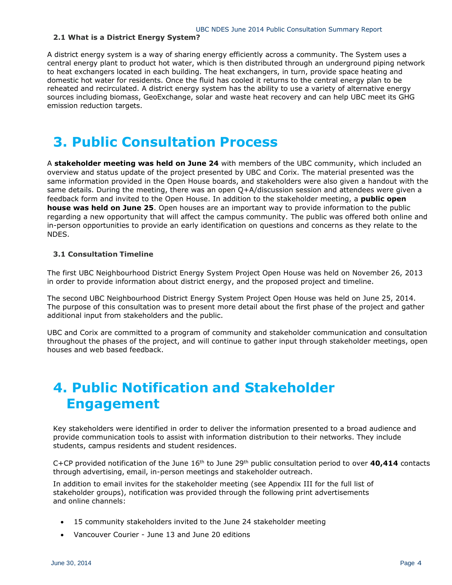#### **2.1 What is a District Energy System?**

A district energy system is a way of sharing energy efficiently across a community. The System uses a central energy plant to product hot water, which is then distributed through an underground piping network to heat exchangers located in each building. The heat exchangers, in turn, provide space heating and domestic hot water for residents. Once the fluid has cooled it returns to the central energy plan to be reheated and recirculated. A district energy system has the ability to use a variety of alternative energy sources including biomass, GeoExchange, solar and waste heat recovery and can help UBC meet its GHG emission reduction targets.

### **3. Public Consultation Process**

A **stakeholder meeting was held on June 24** with members of the UBC community, which included an overview and status update of the project presented by UBC and Corix. The material presented was the same information provided in the Open House boards, and stakeholders were also given a handout with the same details. During the meeting, there was an open Q+A/discussion session and attendees were given a feedback form and invited to the Open House. In addition to the stakeholder meeting, a **public open house was held on June 25**. Open houses are an important way to provide information to the public regarding a new opportunity that will affect the campus community. The public was offered both online and in-person opportunities to provide an early identification on questions and concerns as they relate to the NDES.

#### **3.1 Consultation Timeline**

The first UBC Neighbourhood District Energy System Project Open House was held on November 26, 2013 in order to provide information about district energy, and the proposed project and timeline.

The second UBC Neighbourhood District Energy System Project Open House was held on June 25, 2014. The purpose of this consultation was to present more detail about the first phase of the project and gather additional input from stakeholders and the public.

UBC and Corix are committed to a program of community and stakeholder communication and consultation throughout the phases of the project, and will continue to gather input through stakeholder meetings, open houses and web based feedback.

### **4. Public Notification and Stakeholder Engagement**

Key stakeholders were identified in order to deliver the information presented to a broad audience and provide communication tools to assist with information distribution to their networks. They include students, campus residents and student residences.

C+CP provided notification of the June  $16<sup>th</sup>$  to June  $29<sup>th</sup>$  public consultation period to over **40,414** contacts through advertising, email, in-person meetings and stakeholder outreach.

In addition to email invites for the stakeholder meeting (see Appendix III for the full list of stakeholder groups), notification was provided through the following print advertisements and online channels:

- 15 community stakeholders invited to the June 24 stakeholder meeting
- Vancouver Courier June 13 and June 20 editions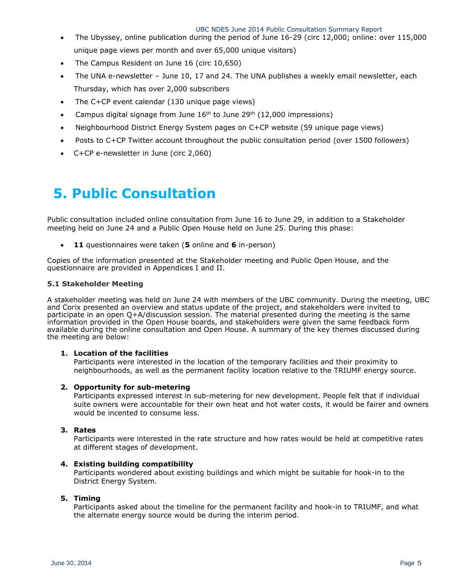- The Ubyssey, online publication during the period of June 16-29 (circ 12,000; online: over 115,000 unique page views per month and over 65,000 unique visitors)
- The Campus Resident on June 16 (circ 10,650)
- The UNA e-newsletter June 10, 17 and 24. The UNA publishes a weekly email newsletter, each Thursday, which has over 2,000 subscribers
- The C+CP event calendar (130 unique page views)
- Campus digital signage from June  $16<sup>th</sup>$  to June 29<sup>th</sup> (12,000 impressions)
- Neighbourhood District Energy System pages on C+CP website (59 unique page views)
- Posts to C+CP Twitter account throughout the public consultation period (over 1500 followers)
- C+CP e-newsletter in June (circ 2,060)

### **5. Public Consultation**

Public consultation included online consultation from June 16 to June 29, in addition to a Stakeholder meeting held on June 24 and a Public Open House held on June 25. During this phase:

**11** questionnaires were taken (**5** online and **6** in-person)

Copies of the information presented at the Stakeholder meeting and Public Open House, and the questionnaire are provided in Appendices I and II.

#### **5.1 Stakeholder Meeting**

A stakeholder meeting was held on June 24 with members of the UBC community. During the meeting, UBC and Corix presented an overview and status update of the project, and stakeholders were invited to participate in an open Q+A/discussion session. The material presented during the meeting is the same information provided in the Open House boards, and stakeholders were given the same feedback form available during the online consultation and Open House. A summary of the key themes discussed during the meeting are below:

#### **1. Location of the facilities**

Participants were interested in the location of the temporary facilities and their proximity to neighbourhoods, as well as the permanent facility location relative to the TRIUMF energy source.

#### **2. Opportunity for sub-metering**

Participants expressed interest in sub-metering for new development. People felt that if individual suite owners were accountable for their own heat and hot water costs, it would be fairer and owners would be incented to consume less.

#### **3. Rates**

Participants were interested in the rate structure and how rates would be held at competitive rates at different stages of development.

#### **4. Existing building compatibility**

Participants wondered about existing buildings and which might be suitable for hook-in to the District Energy System.

#### **5. Timing**

Participants asked about the timeline for the permanent facility and hook-in to TRIUMF, and what the alternate energy source would be during the interim period.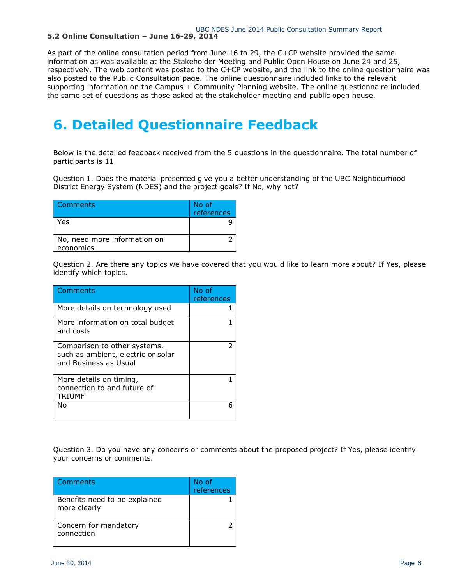#### **5.2 Online Consultation – June 16-29, 2014**

As part of the online consultation period from June 16 to 29, the C+CP website provided the same information as was available at the Stakeholder Meeting and Public Open House on June 24 and 25, respectively. The web content was posted to the C+CP website, and the link to the online questionnaire was also posted to the Public Consultation page. The online questionnaire included links to the relevant supporting information on the Campus + Community Planning website. The online questionnaire included the same set of questions as those asked at the stakeholder meeting and public open house.

### **6. Detailed Questionnaire Feedback**

Below is the detailed feedback received from the 5 questions in the questionnaire. The total number of participants is 11.

Question 1. Does the material presented give you a better understanding of the UBC Neighbourhood District Energy System (NDES) and the project goals? If No, why not?

| Comments                                  | No of<br>references |
|-------------------------------------------|---------------------|
| Yes                                       |                     |
| No, need more information on<br>economics |                     |

Question 2. Are there any topics we have covered that you would like to learn more about? If Yes, please identify which topics.

| Comments                                                                                    | No of<br>references |
|---------------------------------------------------------------------------------------------|---------------------|
| More details on technology used                                                             |                     |
| More information on total budget<br>and costs                                               |                     |
| Comparison to other systems,<br>such as ambient, electric or solar<br>and Business as Usual | 2                   |
| More details on timing,<br>connection to and future of<br><b>TRIUMF</b>                     |                     |
| N٥                                                                                          |                     |

Question 3. Do you have any concerns or comments about the proposed project? If Yes, please identify your concerns or comments.

| Comments                                      | No of<br>references |
|-----------------------------------------------|---------------------|
| Benefits need to be explained<br>more clearly |                     |
| Concern for mandatory<br>connection           |                     |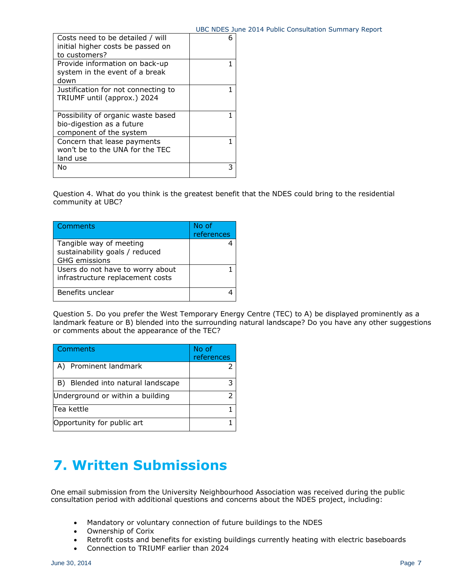|                                                                                            | ------ |
|--------------------------------------------------------------------------------------------|--------|
| Costs need to be detailed / will<br>initial higher costs be passed on<br>to customers?     |        |
| Provide information on back-up                                                             |        |
| system in the event of a break<br>down                                                     |        |
| Justification for not connecting to<br>TRIUMF until (approx.) 2024                         |        |
| Possibility of organic waste based<br>bio-digestion as a future<br>component of the system |        |
| Concern that lease payments<br>won't be to the UNA for the TEC<br>land use                 |        |
| N٥                                                                                         |        |

Question 4. What do you think is the greatest benefit that the NDES could bring to the residential community at UBC?

| Comments                                                             | No of<br>references |
|----------------------------------------------------------------------|---------------------|
| Tangible way of meeting                                              |                     |
| sustainability goals / reduced                                       |                     |
| <b>GHG</b> emissions                                                 |                     |
| Users do not have to worry about<br>infrastructure replacement costs |                     |
| Benefits unclear                                                     |                     |
|                                                                      |                     |

Question 5. Do you prefer the West Temporary Energy Centre (TEC) to A) be displayed prominently as a landmark feature or B) blended into the surrounding natural landscape? Do you have any other suggestions or comments about the appearance of the TEC?

| Comments                          | No of<br>references |
|-----------------------------------|---------------------|
| A) Prominent landmark             |                     |
| B) Blended into natural landscape | 3                   |
| Underground or within a building  | フ                   |
| Tea kettle                        |                     |
| Opportunity for public art        |                     |

### **7. Written Submissions**

One email submission from the University Neighbourhood Association was received during the public consultation period with additional questions and concerns about the NDES project, including:

- Mandatory or voluntary connection of future buildings to the NDES
- Ownership of Corix
- Retrofit costs and benefits for existing buildings currently heating with electric baseboards
- Connection to TRIUMF earlier than 2024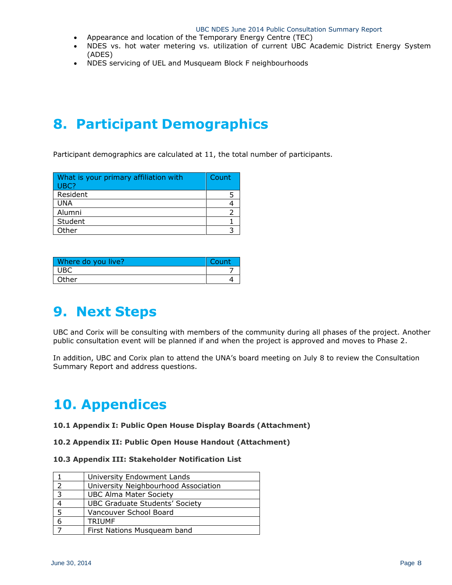- Appearance and location of the Temporary Energy Centre (TEC)
- NDES vs. hot water metering vs. utilization of current UBC Academic District Energy System (ADES)
- NDES servicing of UEL and Musqueam Block F neighbourhoods

### **8. Participant Demographics**

Participant demographics are calculated at 11, the total number of participants.

| What is your primary affiliation with<br>UBC? | Count |
|-----------------------------------------------|-------|
| Resident                                      |       |
| <b>UNA</b>                                    |       |
| Alumni                                        |       |
| Student                                       |       |
| Other                                         |       |

| Where do you live? | Count |
|--------------------|-------|
| <b>UBC</b>         |       |
| Other              |       |

### **9. Next Steps**

UBC and Corix will be consulting with members of the community during all phases of the project. Another public consultation event will be planned if and when the project is approved and moves to Phase 2.

In addition, UBC and Corix plan to attend the UNA's board meeting on July 8 to review the Consultation Summary Report and address questions.

### **10. Appendices**

#### **10.1 Appendix I: Public Open House Display Boards (Attachment)**

#### **10.2 Appendix II: Public Open House Handout (Attachment)**

#### **10.3 Appendix III: Stakeholder Notification List**

|                | University Endowment Lands            |
|----------------|---------------------------------------|
| っ              | University Neighbourhood Association  |
| $\overline{3}$ | <b>UBC Alma Mater Society</b>         |
|                | <b>UBC Graduate Students' Society</b> |
| 5              | Vancouver School Board                |
| 6              | <b>TRIUMF</b>                         |
|                | First Nations Musqueam band           |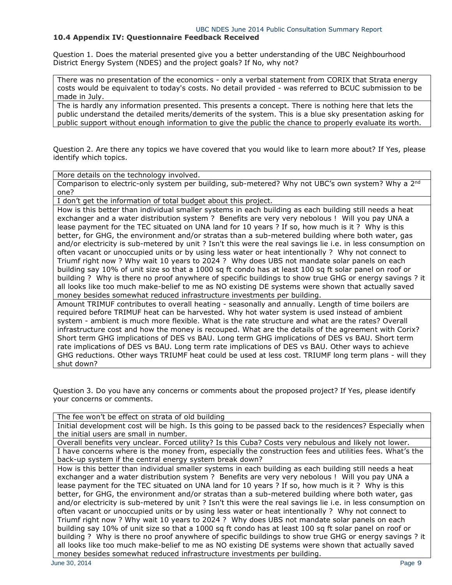#### **10.4 Appendix IV: Questionnaire Feedback Received**

Question 1. Does the material presented give you a better understanding of the UBC Neighbourhood District Energy System (NDES) and the project goals? If No, why not?

There was no presentation of the economics - only a verbal statement from CORIX that Strata energy costs would be equivalent to today's costs. No detail provided - was referred to BCUC submission to be made in July.

The is hardly any information presented. This presents a concept. There is nothing here that lets the public understand the detailed merits/demerits of the system. This is a blue sky presentation asking for public support without enough information to give the public the chance to properly evaluate its worth.

Question 2. Are there any topics we have covered that you would like to learn more about? If Yes, please identify which topics.

More details on the technology involved.

Comparison to electric-only system per building, sub-metered? Why not UBC's own system? Why a 2<sup>nd</sup> one?

I don't get the information of total budget about this project.

How is this better than individual smaller systems in each building as each building still needs a heat exchanger and a water distribution system ? Benefits are very very nebolous ! Will you pay UNA a lease payment for the TEC situated on UNA land for 10 years ? If so, how much is it ? Why is this better, for GHG, the environment and/or stratas than a sub-metered building where both water, gas and/or electricity is sub-metered by unit ? Isn't this were the real savings lie i.e. in less consumption on often vacant or unoccupied units or by using less water or heat intentionally ? Why not connect to Triumf right now ? Why wait 10 years to 2024 ? Why does UBS not mandate solar panels on each building say 10% of unit size so that a 1000 sq ft condo has at least 100 sq ft solar panel on roof or building ? Why is there no proof anywhere of specific buildings to show true GHG or energy savings ? it all looks like too much make-belief to me as NO existing DE systems were shown that actually saved money besides somewhat reduced infrastructure investments per building.

Amount TRIMUF contributes to overall heating - seasonally and annually. Length of time boilers are required before TRIMUF heat can be harvested. Why hot water system is used instead of ambient system - ambient is much more flexible. What is the rate structure and what are the rates? Overall infrastructure cost and how the money is recouped. What are the details of the agreement with Corix? Short term GHG implications of DES vs BAU. Long term GHG implications of DES vs BAU. Short term rate implications of DES vs BAU. Long term rate implications of DES vs BAU. Other ways to achieve GHG reductions. Other ways TRIUMF heat could be used at less cost. TRIUMF long term plans - will they shut down?

Question 3. Do you have any concerns or comments about the proposed project? If Yes, please identify your concerns or comments.

The fee won't be effect on strata of old building

Initial development cost will be high. Is this going to be passed back to the residences? Especially when the initial users are small in number.

Overall benefits very unclear. Forced utility? Is this Cuba? Costs very nebulous and likely not lower. I have concerns where is the money from, especially the construction fees and utilities fees. What's the back-up system if the central energy system break down?

How is this better than individual smaller systems in each building as each building still needs a heat exchanger and a water distribution system ? Benefits are very very nebolous ! Will you pay UNA a lease payment for the TEC situated on UNA land for 10 years ? If so, how much is it ? Why is this better, for GHG, the environment and/or stratas than a sub-metered building where both water, gas and/or electricity is sub-metered by unit ? Isn't this were the real savings lie i.e. in less consumption on often vacant or unoccupied units or by using less water or heat intentionally ? Why not connect to Triumf right now ? Why wait 10 years to 2024 ? Why does UBS not mandate solar panels on each building say 10% of unit size so that a 1000 sq ft condo has at least 100 sq ft solar panel on roof or building ? Why is there no proof anywhere of specific buildings to show true GHG or energy savings ? it all looks like too much make-belief to me as NO existing DE systems were shown that actually saved money besides somewhat reduced infrastructure investments per building.